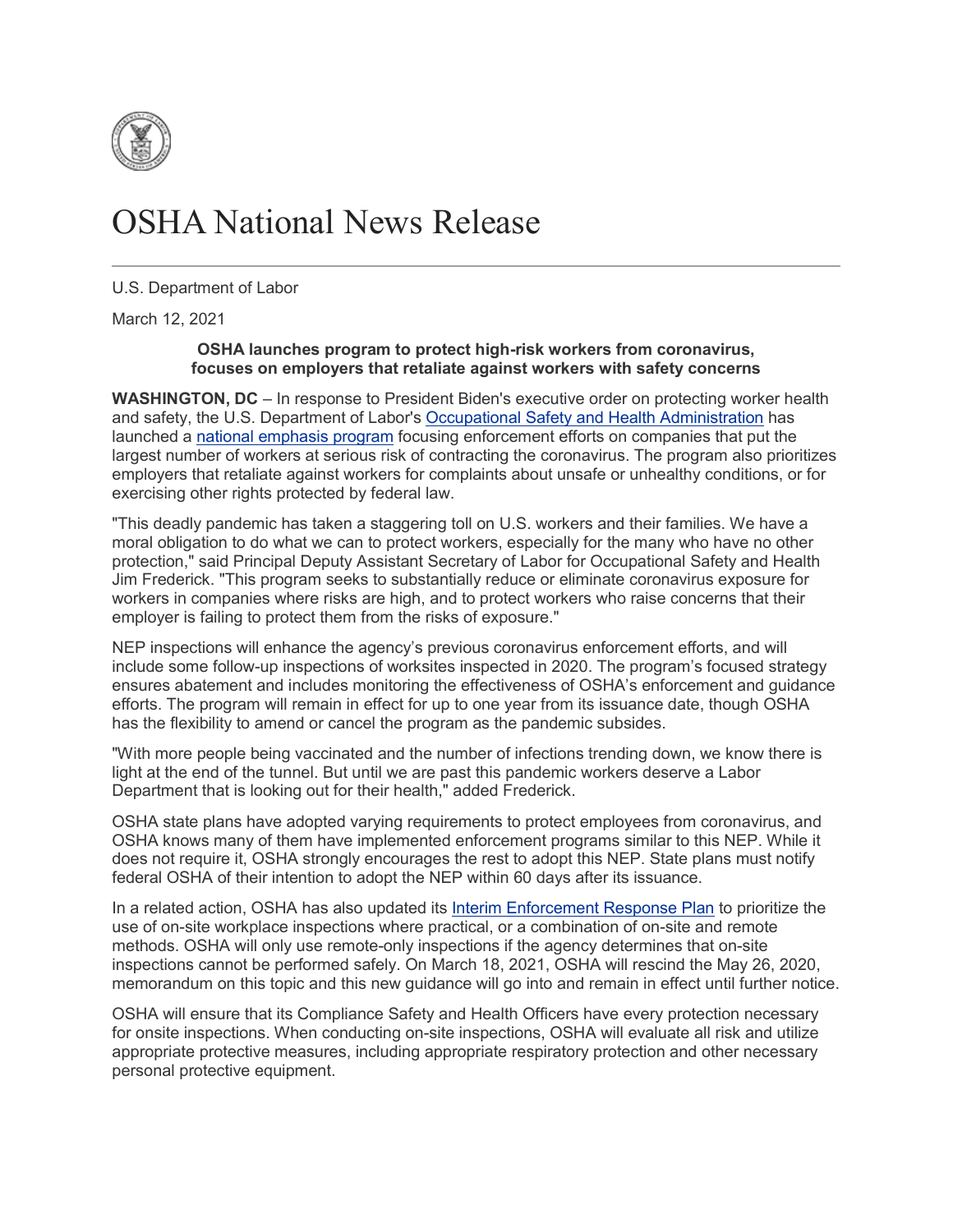

## OSHA National News Release

U.S. Department of Labor

March 12, 2021

## **OSHA launches program to protect high-risk workers from coronavirus, focuses on employers that retaliate against workers with safety concerns**

**WASHINGTON, DC** – In response to President Biden's executive order on protecting worker health and safety, the U.S. Department of Labor's [Occupational Safety and Health Administration](https://www.osha.gov/) has launched a [national emphasis program](https://www.osha.gov/enforcement/directives/dir-2021-01cpl-03) focusing enforcement efforts on companies that put the largest number of workers at serious risk of contracting the coronavirus. The program also prioritizes employers that retaliate against workers for complaints about unsafe or unhealthy conditions, or for exercising other rights protected by federal law.

"This deadly pandemic has taken a staggering toll on U.S. workers and their families. We have a moral obligation to do what we can to protect workers, especially for the many who have no other protection," said Principal Deputy Assistant Secretary of Labor for Occupational Safety and Health Jim Frederick. "This program seeks to substantially reduce or eliminate coronavirus exposure for workers in companies where risks are high, and to protect workers who raise concerns that their employer is failing to protect them from the risks of exposure."

NEP inspections will enhance the agency's previous coronavirus enforcement efforts, and will include some follow-up inspections of worksites inspected in 2020. The program's focused strategy ensures abatement and includes monitoring the effectiveness of OSHA's enforcement and guidance efforts. The program will remain in effect for up to one year from its issuance date, though OSHA has the flexibility to amend or cancel the program as the pandemic subsides.

"With more people being vaccinated and the number of infections trending down, we know there is light at the end of the tunnel. But until we are past this pandemic workers deserve a Labor Department that is looking out for their health," added Frederick.

OSHA state plans have adopted varying requirements to protect employees from coronavirus, and OSHA knows many of them have implemented enforcement programs similar to this NEP. While it does not require it, OSHA strongly encourages the rest to adopt this NEP. State plans must notify federal OSHA of their intention to adopt the NEP within 60 days after its issuance.

In a related action, OSHA has also updated its [Interim Enforcement Response Plan](https://www.osha.gov/memos/2021-03-12/updated-interim-enforcement-response-plan-coronavirus-disease-2019-covid-19) to prioritize the use of on-site workplace inspections where practical, or a combination of on-site and remote methods. OSHA will only use remote-only inspections if the agency determines that on-site inspections cannot be performed safely. On March 18, 2021, OSHA will rescind the May 26, 2020, memorandum on this topic and this new guidance will go into and remain in effect until further notice.

OSHA will ensure that its Compliance Safety and Health Officers have every protection necessary for onsite inspections. When conducting on-site inspections, OSHA will evaluate all risk and utilize appropriate protective measures, including appropriate respiratory protection and other necessary personal protective equipment.